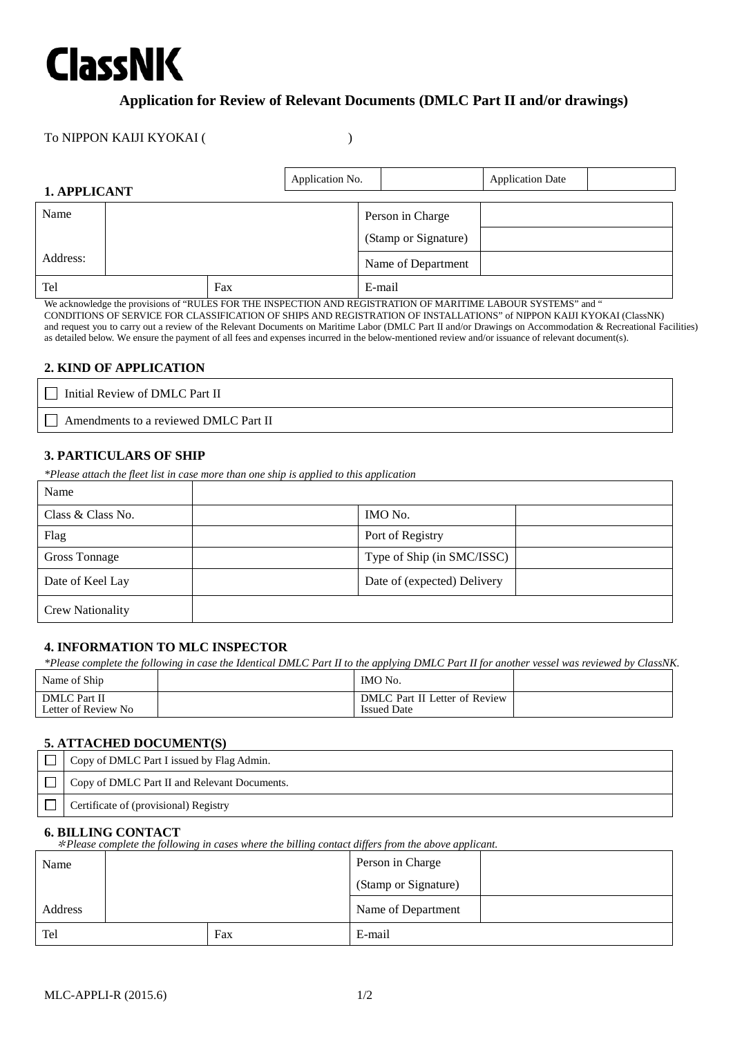# **ClassNK**

### **Application for Review of Relevant Documents (DMLC Part II and/or drawings)**

#### To NIPPON KAIJI KYOKAI ( )

| 1. APPLICANT |  | Application No. |        |                      | <b>Application Date</b> |  |
|--------------|--|-----------------|--------|----------------------|-------------------------|--|
| Name         |  |                 |        | Person in Charge     |                         |  |
|              |  |                 |        | (Stamp or Signature) |                         |  |
| Address:     |  |                 |        | Name of Department   |                         |  |
| Tel<br>Fax   |  |                 | E-mail |                      |                         |  |

We acknowledge the provisions of "RULES FOR THE INSPECTION AND REGISTRATION OF MARITIME LABOUR SYSTEMS" and " CONDITIONS OF SERVICE FOR CLASSIFICATION OF SHIPS AND REGISTRATION OF INSTALLATIONS" of NIPPON KAIJI KYOKAI (ClassNK) and request you to carry out a review of the Relevant Documents on Maritime Labor (DMLC Part II and/or Drawings on Accommodation & Recreational Facilities) as detailed below. We ensure the payment of all fees and expenses incurred in the below-mentioned review and/or issuance of relevant document(s).

#### **2. KIND OF APPLICATION**

 $\Box$  Initial Review of DMLC Part II

Amendments to a reviewed DMLC Part II

#### **3. PARTICULARS OF SHIP**

*\*Please attach the fleet list in case more than one ship is applied to this application*

| Name                    |                             |
|-------------------------|-----------------------------|
| Class & Class No.       | IMO No.                     |
| Flag                    | Port of Registry            |
| Gross Tonnage           | Type of Ship (in SMC/ISSC)  |
| Date of Keel Lay        | Date of (expected) Delivery |
| <b>Crew Nationality</b> |                             |

#### **4. INFORMATION TO MLC INSPECTOR**

*\*Please complete the following in case the Identical DMLC Part II to the applying DMLC Part II for another vessel was reviewed by ClassNK.*

| Name of Ship                         | IMO No.                                             |  |
|--------------------------------------|-----------------------------------------------------|--|
| DMLC Part II<br>Letter of Review No. | DMLC Part II Letter of Review<br><b>Issued Date</b> |  |

#### **5. ATTACHED DOCUMENT(S)**

| Copy of DMLC Part I issued by Flag Admin.    |
|----------------------------------------------|
| Copy of DMLC Part II and Relevant Documents. |
| Certificate of (provisional) Registry        |

#### **6. BILLING CONTACT**

\**Please complete the following in cases where the billing contact differs from the above applicant.*

| Name    |  | Person in Charge |                      |  |  |  |
|---------|--|------------------|----------------------|--|--|--|
|         |  |                  | (Stamp or Signature) |  |  |  |
| Address |  |                  | Name of Department   |  |  |  |
| Tel     |  | Fax              | E-mail               |  |  |  |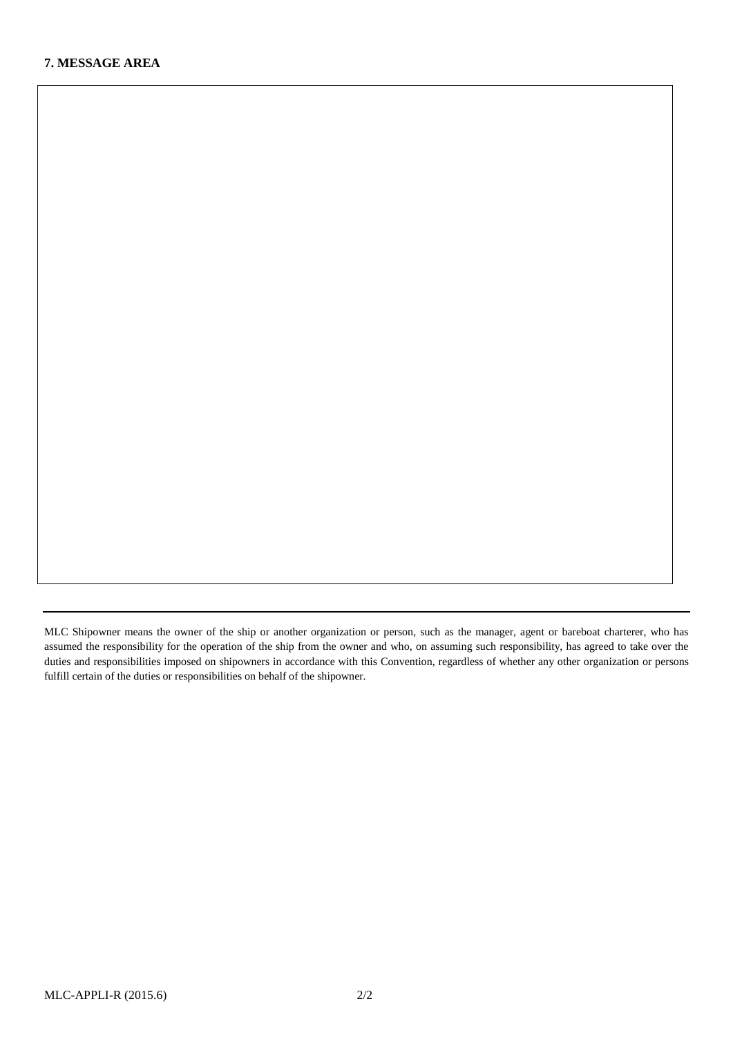MLC Shipowner means the owner of the ship or another organization or person, such as the manager, agent or bareboat charterer, who has assumed the responsibility for the operation of the ship from the owner and who, on assuming such responsibility, has agreed to take over the duties and responsibilities imposed on shipowners in accordance with this Convention, regardless of whether any other organization or persons fulfill certain of the duties or responsibilities on behalf of the shipowner.